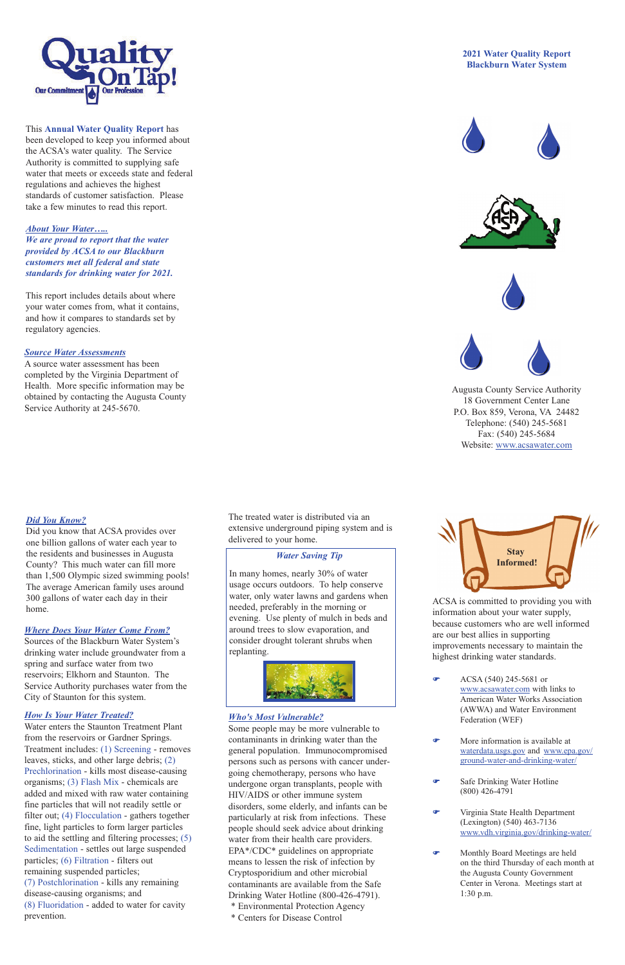## *Where Does Your Water Come From?*

Sources of the Blackburn Water System's drinking water include groundwater from a spring and surface water from two reservoirs; Elkhorn and Staunton. The Service Authority purchases water from the City of Staunton for this system.

### *How Is Your Water Treated?*

Water enters the Staunton Treatment Plant from the reservoirs or Gardner Springs. Treatment includes: (1) Screening - removes leaves, sticks, and other large debris; (2) Prechlorination - kills most disease-causing organisms; (3) Flash Mix - chemicals are added and mixed with raw water containing fine particles that will not readily settle or filter out; (4) Flocculation - gathers together fine, light particles to form larger particles to aid the settling and filtering processes; (5) Sedimentation - settles out large suspended particles; (6) Filtration - filters out remaining suspended particles; (7) Postchlorination - kills any remaining disease-causing organisms; and (8) Fluoridation - added to water for cavity prevention.

The treated water is distributed via an extensive underground piping system and is delivered to your home.

## *Who's Most Vulnerable?*

Some people may be more vulnerable to contaminants in drinking water than the general population. Immunocompromised persons such as persons with cancer undergoing chemotherapy, persons who have undergone organ transplants, people with HIV/AIDS or other immune system disorders, some elderly, and infants can be particularly at risk from infections. These people should seek advice about drinking water from their health care providers. EPA\*/CDC\* guidelines on appropriate means to lessen the risk of infection by Cryptosporidium and other microbial contaminants are available from the Safe Drinking Water Hotline (800-426-4791). \* Environmental Protection Agency \* Centers for Disease Control

ACSA is committed to providing you with information about your water supply, because customers who are well informed are our best allies in supporting improvements necessary to maintain the highest drinking water standards.

F ACSA (540) 245-5681 or www.acsawater.com with links to American Water Works Association (AWWA) and Water Environment Federation (WEF)

- F More information is available at waterdata.usgs.gov and www.epa.gov/ ground-water-and-drinking-water/
- **F** Safe Drinking Water Hotline (800) 426-4791
- **F** Virginia State Health Department (Lexington) (540) 463-7136 www.vdh.virginia.gov/drinking-water/
- **F** Monthly Board Meetings are held on the third Thursday of each month at the Augusta County Government Center in Verona. Meetings start at 1:30 p.m.



This **Annual Water Quality Report** has been developed to keep you informed about the ACSA's water quality. The Service Authority is committed to supplying safe water that meets or exceeds state and federal regulations and achieves the highest standards of customer satisfaction. Please take a few minutes to read this report.

# *About Your Water…..*

*We are proud to report that the water provided by ACSA to our Blackburn customers met all federal and state standards for drinking water for 2021.* 

This report includes details about where your water comes from, what it contains, and how it compares to standards set by regulatory agencies.

# **2021 Water Quality Report Blackburn Water System**









Augusta County Service Authority 18 Government Center Lane P.O. Box 859, Verona, VA 24482 Telephone: (540) 245-5681 Fax: (540) 245-5684 Website: www.acsawater.com



# *Source Water Assessments*

A source water assessment has been completed by the Virginia Department of Health. More specific information may be obtained by contacting the Augusta County Service Authority at 245-5670.

## *Water Saving Tip*

In many homes, nearly 30% of water usage occurs outdoors. To help conserve water, only water lawns and gardens when needed, preferably in the morning or evening. Use plenty of mulch in beds and around trees to slow evaporation, and consider drought tolerant shrubs when replanting.



# *Did You Know?*

Did you know that ACSA provides over one billion gallons of water each year to the residents and businesses in Augusta County? This much water can fill more than 1,500 Olympic sized swimming pools! The average American family uses around 300 gallons of water each day in their home.